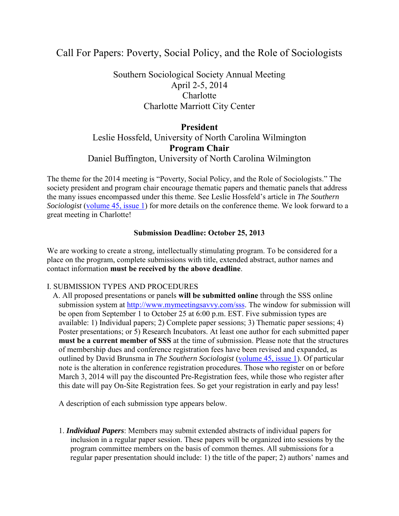# Call For Papers: Poverty, Social Policy, and the Role of Sociologists

## Southern Sociological Society Annual Meeting April 2-5, 2014 **Charlotte** Charlotte Marriott City Center

### **President**

## Leslie Hossfeld, University of North Carolina Wilmington **Program Chair**  Daniel Buffington, University of North Carolina Wilmington

The theme for the 2014 meeting is "Poverty, Social Policy, and the Role of Sociologists." The society president and program chair encourage thematic papers and thematic panels that address the many issues encompassed under this theme. See Leslie Hossfeld's article in *The Southern Sociologist* [\(volume 45, issue 1\)](http://www.southernsociologicalsociety.org/assets/TSS.v45/TSSVolume45Number1.pdf) for more details on the conference theme. We look forward to a great meeting in Charlotte!

#### **Submission Deadline: October 25, 2013**

We are working to create a strong, intellectually stimulating program. To be considered for a place on the program, complete submissions with title, extended abstract, author names and contact information **must be received by the above deadline**.

#### I. SUBMISSION TYPES AND PROCEDURES

A. All proposed presentations or panels **will be submitted online** through the SSS online submission system at [http://www.mymeetingsavvy.com/sss.](http://www.mymeetingsavvy.com/sss) The window for submission will be open from September 1 to October 25 at 6:00 p.m. EST. Five submission types are available: 1) Individual papers; 2) Complete paper sessions; 3) Thematic paper sessions; 4) Poster presentations; or 5) Research Incubators. At least one author for each submitted paper **must be a current member of SSS** at the time of submission. Please note that the structures of membership dues and conference registration fees have been revised and expanded, as outlined by David Brunsma in *The Southern Sociologist* [\(volume 45, issue 1\)](http://www.southernsociologicalsociety.org/assets/TSS.v45/TSSVolume45Number1.pdf). Of particular note is the alteration in conference registration procedures. Those who register on or before March 3, 2014 will pay the discounted Pre-Registration fees, while those who register after this date will pay On-Site Registration fees. So get your registration in early and pay less!

A description of each submission type appears below.

1. *Individual Papers*: Members may submit extended abstracts of individual papers for inclusion in a regular paper session. These papers will be organized into sessions by the program committee members on the basis of common themes. All submissions for a regular paper presentation should include: 1) the title of the paper; 2) authors' names and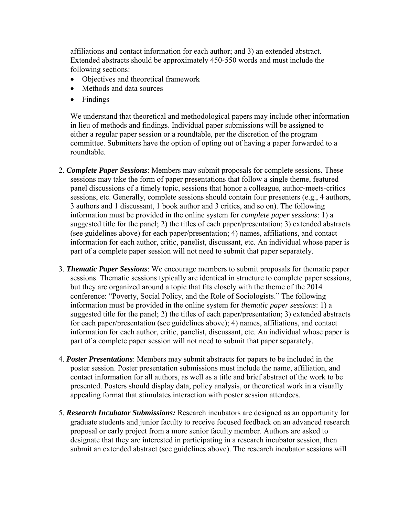affiliations and contact information for each author; and 3) an extended abstract. Extended abstracts should be approximately 450-550 words and must include the following sections:

- Objectives and theoretical framework
- Methods and data sources
- Findings

We understand that theoretical and methodological papers may include other information in lieu of methods and findings. Individual paper submissions will be assigned to either a regular paper session or a roundtable, per the discretion of the program committee. Submitters have the option of opting out of having a paper forwarded to a roundtable.

- 2. *Complete Paper Sessions*: Members may submit proposals for complete sessions. These sessions may take the form of paper presentations that follow a single theme, featured panel discussions of a timely topic, sessions that honor a colleague, author-meets-critics sessions, etc. Generally, complete sessions should contain four presenters (e.g., 4 authors, 3 authors and 1 discussant, 1 book author and 3 critics, and so on). The following information must be provided in the online system for *complete paper sessions*: 1) a suggested title for the panel; 2) the titles of each paper/presentation; 3) extended abstracts (see guidelines above) for each paper/presentation; 4) names, affiliations, and contact information for each author, critic, panelist, discussant, etc. An individual whose paper is part of a complete paper session will not need to submit that paper separately.
- 3. *Thematic Paper Sessions*: We encourage members to submit proposals for thematic paper sessions. Thematic sessions typically are identical in structure to complete paper sessions, but they are organized around a topic that fits closely with the theme of the 2014 conference: "Poverty, Social Policy, and the Role of Sociologists." The following information must be provided in the online system for *thematic paper sessions*: 1) a suggested title for the panel; 2) the titles of each paper/presentation; 3) extended abstracts for each paper/presentation (see guidelines above); 4) names, affiliations, and contact information for each author, critic, panelist, discussant, etc. An individual whose paper is part of a complete paper session will not need to submit that paper separately.
- 4. *Poster Presentations*: Members may submit abstracts for papers to be included in the poster session. Poster presentation submissions must include the name, affiliation, and contact information for all authors, as well as a title and brief abstract of the work to be presented. Posters should display data, policy analysis, or theoretical work in a visually appealing format that stimulates interaction with poster session attendees.
- 5. *Research Incubator Submissions:* Research incubators are designed as an opportunity for graduate students and junior faculty to receive focused feedback on an advanced research proposal or early project from a more senior faculty member. Authors are asked to designate that they are interested in participating in a research incubator session, then submit an extended abstract (see guidelines above). The research incubator sessions will